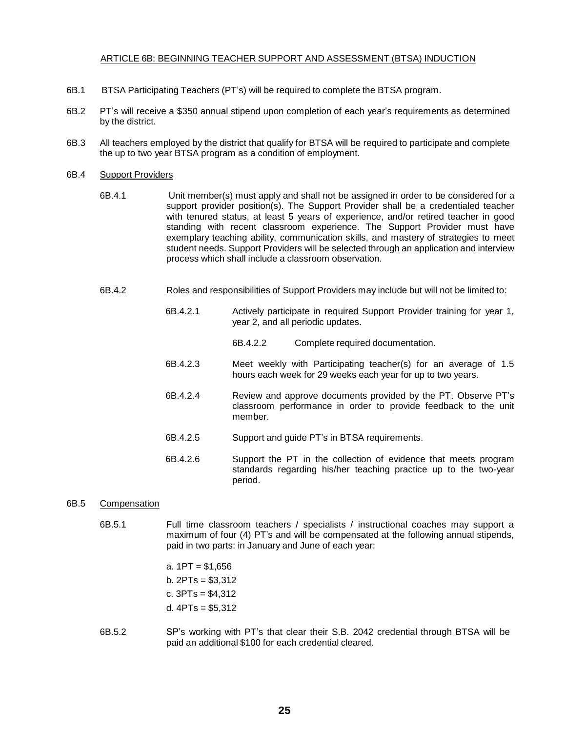## ARTICLE 6B: BEGINNING TEACHER SUPPORT AND ASSESSMENT (BTSA) INDUCTION

- 6B.1 BTSA Participating Teachers (PT's) will be required to complete the BTSA program.
- 6B.2 PT's will receive a \$350 annual stipend upon completion of each year's requirements as determined by the district.
- 6B.3 All teachers employed by the district that qualify for BTSA will be required to participate and complete the up to two year BTSA program as a condition of employment.

## 6B.4 Support Providers

- 6B.4.1 Unit member(s) must apply and shall not be assigned in order to be considered for a support provider position(s). The Support Provider shall be a credentialed teacher with tenured status, at least 5 years of experience, and/or retired teacher in good standing with recent classroom experience. The Support Provider must have exemplary teaching ability, communication skills, and mastery of strategies to meet student needs. Support Providers will be selected through an application and interview process which shall include a classroom observation.
- 6B.4.2 Roles and responsibilities of Support Providers may include but will not be limited to:
	- 6B.4.2.1 Actively participate in required Support Provider training for year 1, year 2, and all periodic updates.
		- 6B.4.2.2 Complete required documentation.
	- 6B.4.2.3 Meet weekly with Participating teacher(s) for an average of 1.5 hours each week for 29 weeks each year for up to two years.
	- 6B.4.2.4 Review and approve documents provided by the PT. Observe PT's classroom performance in order to provide feedback to the unit member.
	- 6B.4.2.5 Support and guide PT's in BTSA requirements.
	- 6B.4.2.6 Support the PT in the collection of evidence that meets program standards regarding his/her teaching practice up to the two-year period.

## 6B.5 Compensation

6B.5.1 Full time classroom teachers / specialists / instructional coaches may support a maximum of four (4) PT's and will be compensated at the following annual stipends, paid in two parts: in January and June of each year:

> a. 1PT = \$1,656 b. 2PTs = \$3,312 c. 3PTs = \$4,312 d.  $4PTs = $5.312$

6B.5.2 SP's working with PT's that clear their S.B. 2042 credential through BTSA will be paid an additional \$100 for each credential cleared.